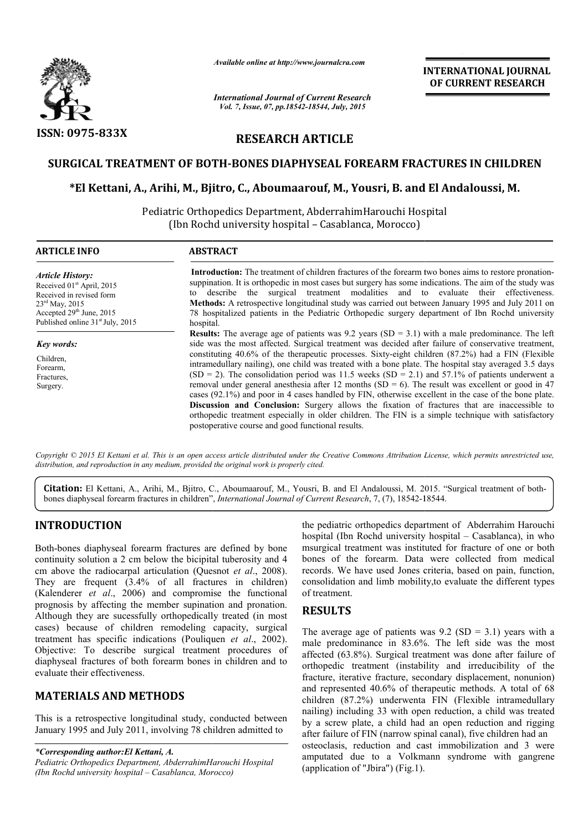

*Available online at http://www.journalcra.com*

## **RESEARCH ARTICLE**

#### **SURGICAL TREATMENT OF BOTH BOTH-BONES DIAPHYSEAL FOREARM FRACTURES IN CHILDREN**

# GICAL TREATMENT OF BOTH-BONES DIAPHYSEAL FOREARM FRACTURES IN CHILDREN<br>\*El Kettani, A., Arihi, M., Bjitro, C., Aboumaarouf, M., Yousri, B. and El Andaloussi, M.

|                                                                                                                                                                                                                                                                                                                                                                                                                                                                                                                                                                                                                                                                                                                                                         | лтините опине интирулттуриниисписот                                                                                                                                                                                                                                                                                                                                                                                                                                                                                                                                                                                                                                                                                                                                                                                                                                                                                                                                                                         |                                                                                                                                                                                                                                                                                                                                                                                                                                                                                                            | <b>INTERNATIONAL JOURNAL</b><br>OF CURRENT RESEARCH                                                                                                                                                                                                                                                                             |  |  |  |  |  |
|---------------------------------------------------------------------------------------------------------------------------------------------------------------------------------------------------------------------------------------------------------------------------------------------------------------------------------------------------------------------------------------------------------------------------------------------------------------------------------------------------------------------------------------------------------------------------------------------------------------------------------------------------------------------------------------------------------------------------------------------------------|-------------------------------------------------------------------------------------------------------------------------------------------------------------------------------------------------------------------------------------------------------------------------------------------------------------------------------------------------------------------------------------------------------------------------------------------------------------------------------------------------------------------------------------------------------------------------------------------------------------------------------------------------------------------------------------------------------------------------------------------------------------------------------------------------------------------------------------------------------------------------------------------------------------------------------------------------------------------------------------------------------------|------------------------------------------------------------------------------------------------------------------------------------------------------------------------------------------------------------------------------------------------------------------------------------------------------------------------------------------------------------------------------------------------------------------------------------------------------------------------------------------------------------|---------------------------------------------------------------------------------------------------------------------------------------------------------------------------------------------------------------------------------------------------------------------------------------------------------------------------------|--|--|--|--|--|
|                                                                                                                                                                                                                                                                                                                                                                                                                                                                                                                                                                                                                                                                                                                                                         | <b>International Journal of Current Research</b><br>Vol. 7, Issue, 07, pp.18542-18544, July, 2015                                                                                                                                                                                                                                                                                                                                                                                                                                                                                                                                                                                                                                                                                                                                                                                                                                                                                                           |                                                                                                                                                                                                                                                                                                                                                                                                                                                                                                            |                                                                                                                                                                                                                                                                                                                                 |  |  |  |  |  |
| <b>ISSN: 0975-833X</b>                                                                                                                                                                                                                                                                                                                                                                                                                                                                                                                                                                                                                                                                                                                                  | <b>RESEARCH ARTICLE</b>                                                                                                                                                                                                                                                                                                                                                                                                                                                                                                                                                                                                                                                                                                                                                                                                                                                                                                                                                                                     |                                                                                                                                                                                                                                                                                                                                                                                                                                                                                                            |                                                                                                                                                                                                                                                                                                                                 |  |  |  |  |  |
|                                                                                                                                                                                                                                                                                                                                                                                                                                                                                                                                                                                                                                                                                                                                                         |                                                                                                                                                                                                                                                                                                                                                                                                                                                                                                                                                                                                                                                                                                                                                                                                                                                                                                                                                                                                             |                                                                                                                                                                                                                                                                                                                                                                                                                                                                                                            | SURGICAL TREATMENT OF BOTH-BONES DIAPHYSEAL FOREARM FRACTURES IN CHILDREN                                                                                                                                                                                                                                                       |  |  |  |  |  |
|                                                                                                                                                                                                                                                                                                                                                                                                                                                                                                                                                                                                                                                                                                                                                         | *El Kettani, A., Arihi, M., Bjitro, C., Aboumaarouf, M., Yousri, B. and El Andaloussi, M.                                                                                                                                                                                                                                                                                                                                                                                                                                                                                                                                                                                                                                                                                                                                                                                                                                                                                                                   |                                                                                                                                                                                                                                                                                                                                                                                                                                                                                                            |                                                                                                                                                                                                                                                                                                                                 |  |  |  |  |  |
|                                                                                                                                                                                                                                                                                                                                                                                                                                                                                                                                                                                                                                                                                                                                                         | Pediatric Orthopedics Department, AbderrahimHarouchi Hospital<br>(Ibn Rochd university hospital - Casablanca, Morocco)                                                                                                                                                                                                                                                                                                                                                                                                                                                                                                                                                                                                                                                                                                                                                                                                                                                                                      |                                                                                                                                                                                                                                                                                                                                                                                                                                                                                                            |                                                                                                                                                                                                                                                                                                                                 |  |  |  |  |  |
| <b>ARTICLE INFO</b>                                                                                                                                                                                                                                                                                                                                                                                                                                                                                                                                                                                                                                                                                                                                     | <b>ABSTRACT</b>                                                                                                                                                                                                                                                                                                                                                                                                                                                                                                                                                                                                                                                                                                                                                                                                                                                                                                                                                                                             |                                                                                                                                                                                                                                                                                                                                                                                                                                                                                                            |                                                                                                                                                                                                                                                                                                                                 |  |  |  |  |  |
| <b>Article History:</b><br>Received 01 <sup>st</sup> April, 2015<br>Received in revised form<br>23rd May, 2015<br>Accepted 29th June, 2015<br>Published online 31 <sup>st</sup> July, 2015                                                                                                                                                                                                                                                                                                                                                                                                                                                                                                                                                              | to<br>hospital.                                                                                                                                                                                                                                                                                                                                                                                                                                                                                                                                                                                                                                                                                                                                                                                                                                                                                                                                                                                             | Introduction: The treatment of children fractures of the forearm two bones aims to restore pronation-<br>suppination. It is orthopedic in most cases but surgery has some indications. The aim of the study was<br>describe the surgical treatment modalities and to evaluate their effectiveness.<br>Methods: A retrospective longitudinal study was carried out between January 1995 and July 2011 on<br>78 hospitalized patients in the Pediatric Orthopedic surgery department of Ibn Rochd university |                                                                                                                                                                                                                                                                                                                                 |  |  |  |  |  |
| Key words:<br>Children,<br>Forearm,<br>Fractures,<br>Surgery.                                                                                                                                                                                                                                                                                                                                                                                                                                                                                                                                                                                                                                                                                           | <b>Results:</b> The average age of patients was 9.2 years (SD = 3.1) with a male predominance. The left<br>side was the most affected. Surgical treatment was decided after failure of conservative treatment,<br>constituting 40.6% of the therapeutic processes. Sixty-eight children (87.2%) had a FIN (Flexible<br>intramedullary nailing), one child was treated with a bone plate. The hospital stay averaged 3.5 days<br>$(SD = 2)$ . The consolidation period was 11.5 weeks $(SD = 2.1)$ and 57.1% of patients underwent a<br>removal under general anesthesia after 12 months (SD = 6). The result was excellent or good in 47<br>cases (92.1%) and poor in 4 cases handled by FIN, otherwise excellent in the case of the bone plate.<br>Discussion and Conclusion: Surgery allows the fixation of fractures that are inaccessible to<br>orthopedic treatment especially in older children. The FIN is a simple technique with satisfactory<br>postoperative course and good functional results. |                                                                                                                                                                                                                                                                                                                                                                                                                                                                                                            |                                                                                                                                                                                                                                                                                                                                 |  |  |  |  |  |
|                                                                                                                                                                                                                                                                                                                                                                                                                                                                                                                                                                                                                                                                                                                                                         | distribution, and reproduction in any medium, provided the original work is properly cited.                                                                                                                                                                                                                                                                                                                                                                                                                                                                                                                                                                                                                                                                                                                                                                                                                                                                                                                 |                                                                                                                                                                                                                                                                                                                                                                                                                                                                                                            | Copyright © 2015 El Kettani et al. This is an open access article distributed under the Creative Commons Attribution License, which permits unrestricted use,                                                                                                                                                                   |  |  |  |  |  |
|                                                                                                                                                                                                                                                                                                                                                                                                                                                                                                                                                                                                                                                                                                                                                         | bones diaphyseal forearm fractures in children", International Journal of Current Research, 7, (7), 18542-18544.                                                                                                                                                                                                                                                                                                                                                                                                                                                                                                                                                                                                                                                                                                                                                                                                                                                                                            |                                                                                                                                                                                                                                                                                                                                                                                                                                                                                                            | Citation: El Kettani, A., Arihi, M., Bjitro, C., Aboumaarouf, M., Yousri, B. and El Andaloussi, M. 2015. "Surgical treatment of both-                                                                                                                                                                                           |  |  |  |  |  |
| <b>INTRODUCTION</b>                                                                                                                                                                                                                                                                                                                                                                                                                                                                                                                                                                                                                                                                                                                                     |                                                                                                                                                                                                                                                                                                                                                                                                                                                                                                                                                                                                                                                                                                                                                                                                                                                                                                                                                                                                             |                                                                                                                                                                                                                                                                                                                                                                                                                                                                                                            | the pediatric orthopedics department of Abderrahim Harouchi                                                                                                                                                                                                                                                                     |  |  |  |  |  |
| Both-bones diaphyseal forearm fractures are defined by bone<br>continuity solution a 2 cm below the bicipital tuberosity and 4<br>cm above the radiocarpal articulation (Quesnot et al., 2008).<br>They are frequent $(3.4\% \text{ of all}$ fractures in children)<br>(Kalenderer et al., 2006) and compromise the functional<br>prognosis by affecting the member supination and pronation.<br>Although they are sucessfully orthopedically treated (in most<br>cases) because of children remodeling capacity, surgical<br>treatment has specific indications (Pouliquen et al., 2002).<br>Objective: To describe surgical treatment procedures of<br>diaphyseal fractures of both forearm bones in children and to<br>evaluate their effectiveness. |                                                                                                                                                                                                                                                                                                                                                                                                                                                                                                                                                                                                                                                                                                                                                                                                                                                                                                                                                                                                             | of treatment.<br><b>RESULTS</b>                                                                                                                                                                                                                                                                                                                                                                                                                                                                            | hospital (Ibn Rochd university hospital – Casablanca), in who<br>msurgical treatment was instituted for fracture of one or both<br>bones of the forearm. Data were collected from medical<br>records. We have used Jones criteria, based on pain, function,<br>consolidation and limb mobility, to evaluate the different types |  |  |  |  |  |
|                                                                                                                                                                                                                                                                                                                                                                                                                                                                                                                                                                                                                                                                                                                                                         |                                                                                                                                                                                                                                                                                                                                                                                                                                                                                                                                                                                                                                                                                                                                                                                                                                                                                                                                                                                                             | The average age of patients was $9.2$ (SD = 3.1) years with a<br>male predominance in 83.6%. The left side was the most<br>affected (63.8%). Surgical treatment was done after failure of<br>orthopedic treatment (instability and irreducibility of the<br>fracture, iterative fracture, secondary displacement, nonunion)                                                                                                                                                                                |                                                                                                                                                                                                                                                                                                                                 |  |  |  |  |  |
| <b>MATERIALS AND METHODS</b><br>This is a retrospective longitudinal study, conducted between<br>January 1995 and July 2011, involving 78 children admitted to                                                                                                                                                                                                                                                                                                                                                                                                                                                                                                                                                                                          |                                                                                                                                                                                                                                                                                                                                                                                                                                                                                                                                                                                                                                                                                                                                                                                                                                                                                                                                                                                                             |                                                                                                                                                                                                                                                                                                                                                                                                                                                                                                            | and represented 40.6% of therapeutic methods. A total of 68<br>children (87.2%) underwenta FIN (Flexible intramedullary<br>nailing) including 33 with open reduction, a child was treated<br>by a screw plate, a child had an open reduction and rigging<br>after failure of FIN (narrow spinal canal), five children had an    |  |  |  |  |  |
| *Corresponding author: El Kettani, A.<br>Li <sub>1</sub> U <sub>quark</sub>                                                                                                                                                                                                                                                                                                                                                                                                                                                                                                                                                                                                                                                                             |                                                                                                                                                                                                                                                                                                                                                                                                                                                                                                                                                                                                                                                                                                                                                                                                                                                                                                                                                                                                             |                                                                                                                                                                                                                                                                                                                                                                                                                                                                                                            | osteoclasis, reduction and cast immobilization and 3 were<br>amputated due to a Volkmann syndrome with gangrene                                                                                                                                                                                                                 |  |  |  |  |  |

### **INTRODUCTION**

### **MATERIALS AND METHODS**

*\*Corresponding author:El Kettani, A. Pediatric Orthopedics Department, AbderrahimHarouchi Hospital (Ibn Rochd university hospital – Casablanca, Morocco)*

#### **RESULTS**

The average age of patients was  $9.2$  (SD = 3.1) years with a male predominance in 83.6%. The left side was the most affected (63.8%). Surgical treatment was done after failure of orthopedic treatment (instability and irreducibility of the fracture, iterative fracture, secondary displacement, nonunion) and represented 40.6% of therapeutic methods. A total of 68 children (87.2%) underwenta FIN (Flexible intramedullary nailing) including 33 with open reduction, a child was treated by a screw plate, a child had an open reduction and rigging after failure of FIN (narrow spinal canal), five children had an osteoclasis, reduction and cast immobilization and 3 were amputated due to a Volkmann syndrome with gangrene (application of "Jbira") (Fig.1). regical treatment was instituted for fracture of one or both<br>ss of the forearm. Data were collected from medical<br>rds. We have used Jones criteria, based on pain, function,<br>olidation and limb mobility,to evaluate the diffe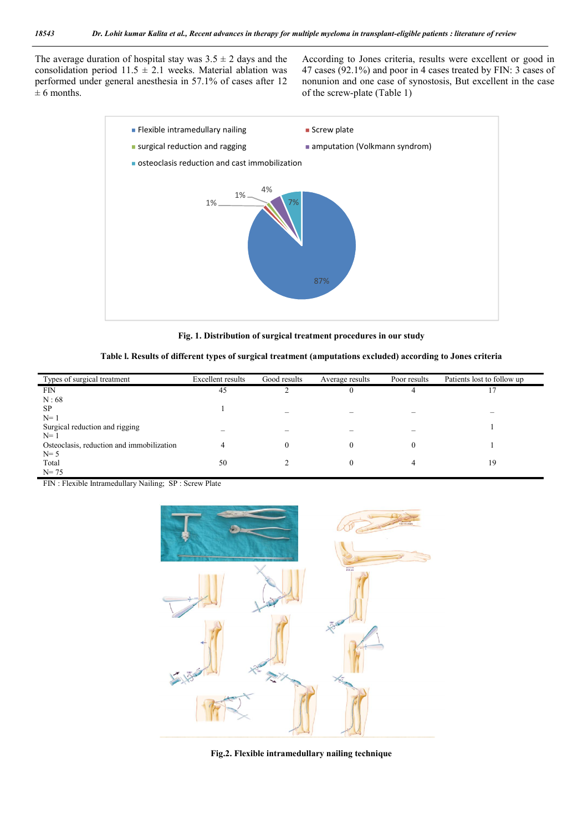The average duration of hospital stay was  $3.5 \pm 2$  days and the consolidation period  $11.5 \pm 2.1$  weeks. Material ablation was performed under general anesthesia in 57.1% of cases after 12  $± 6$  months.

According to Jones criteria, results were excellent or good in 47 cases (92.1%) and poor in 4 cases treated by FIN: 3 cases of nonunion and one case of synostosis, But excellent in the case of the screw-plate (Table 1)



**Fig. 1. Distribution of surgical treatment procedures in our study**

| Table I. Results of different types of surgical treatment (amputations excluded) according to Jones criteria |  |  |  |
|--------------------------------------------------------------------------------------------------------------|--|--|--|
|--------------------------------------------------------------------------------------------------------------|--|--|--|

| Types of surgical treatment               | <b>Excellent results</b> | Good results             | Average results | Poor results | Patients lost to follow up |
|-------------------------------------------|--------------------------|--------------------------|-----------------|--------------|----------------------------|
| FIN                                       | 45                       | ◠                        |                 |              |                            |
| N:68                                      |                          |                          |                 |              |                            |
| <b>SP</b>                                 |                          | $\overline{\phantom{a}}$ |                 |              |                            |
| $N=1$                                     |                          |                          |                 |              |                            |
| Surgical reduction and rigging            |                          |                          |                 |              |                            |
| $N=1$                                     |                          |                          |                 |              |                            |
| Osteoclasis, reduction and immobilization |                          |                          |                 |              |                            |
| $N=5$                                     |                          |                          |                 |              |                            |
| Total                                     | 50                       |                          |                 |              | 19                         |
| $N = 75$                                  |                          |                          |                 |              |                            |

FIN : Flexible Intramedullary Nailing; SP : Screw Plate



**Fig.2. Flexible intramedullary nailing technique**